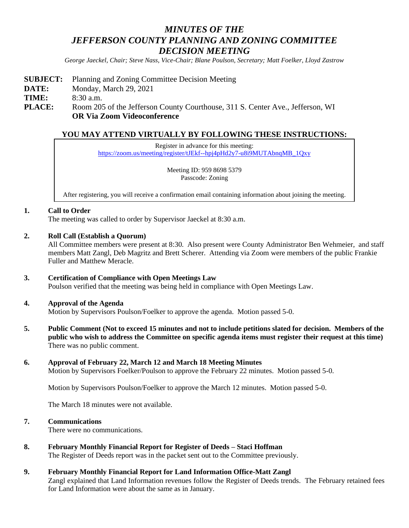# *MINUTES OF THE JEFFERSON COUNTY PLANNING AND ZONING COMMITTEE DECISION MEETING*

*George Jaeckel, Chair; Steve Nass, Vice-Chair; Blane Poulson, Secretary; Matt Foelker, Lloyd Zastrow*

- **SUBJECT:** Planning and Zoning Committee Decision Meeting
- **DATE:** Monday, March 29, 2021

**TIME:** 8:30 a.m.

**PLACE:** Room 205 of the Jefferson County Courthouse, 311 S. Center Ave., Jefferson, WI **OR Via Zoom Videoconference**

# **YOU MAY ATTEND VIRTUALLY BY FOLLOWING THESE INSTRUCTIONS:**

Register in advance for this meeting: [https://zoom.us/meeting/register/tJEkf--hpj4pHd2y7-u8i9MUTAbnqMB\\_1Qxy](https://zoom.us/meeting/register/tJEkf--hpj4pHd2y7-u8i9MUTAbnqMB_1Qxy)

> Meeting ID: 959 8698 5379 Passcode: Zoning

After registering, you will receive a confirmation email containing information about joining the meeting.

## **1. Call to Order**

The meeting was called to order by Supervisor Jaeckel at 8:30 a.m.

**2. Roll Call (Establish a Quorum)**

All Committee members were present at 8:30. Also present were County Administrator Ben Wehmeier, and staff members Matt Zangl, Deb Magritz and Brett Scherer. Attending via Zoom were members of the public Frankie Fuller and Matthew Meracle.

## **3. Certification of Compliance with Open Meetings Law**

Poulson verified that the meeting was being held in compliance with Open Meetings Law.

#### **4. Approval of the Agenda**

Motion by Supervisors Poulson/Foelker to approve the agenda. Motion passed 5-0.

**5. Public Comment (Not to exceed 15 minutes and not to include petitions slated for decision. Members of the public who wish to address the Committee on specific agenda items must register their request at this time)** There was no public comment.

## **6. Approval of February 22, March 12 and March 18 Meeting Minutes**

Motion by Supervisors Foelker/Poulson to approve the February 22 minutes. Motion passed 5-0.

Motion by Supervisors Poulson/Foelker to approve the March 12 minutes. Motion passed 5-0.

The March 18 minutes were not available.

## **7. Communications**

There were no communications.

## **8. February Monthly Financial Report for Register of Deeds – Staci Hoffman**

The Register of Deeds report was in the packet sent out to the Committee previously.

#### **9. February Monthly Financial Report for Land Information Office-Matt Zangl**

Zangl explained that Land Information revenues follow the Register of Deeds trends. The February retained fees for Land Information were about the same as in January.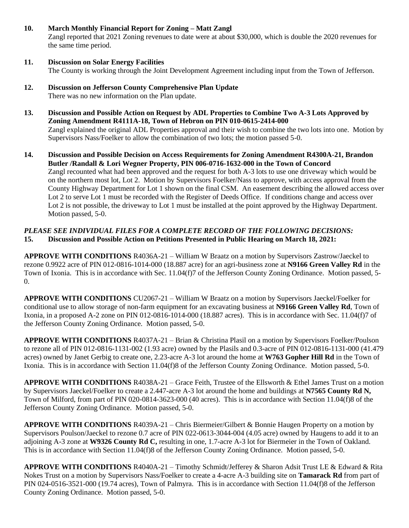## **10. March Monthly Financial Report for Zoning – Matt Zangl**

Zangl reported that 2021 Zoning revenues to date were at about \$30,000, which is double the 2020 revenues for the same time period.

#### **11. Discussion on Solar Energy Facilities** The County is working through the Joint Development Agreement including input from the Town of Jefferson.

- **12. Discussion on Jefferson County Comprehensive Plan Update** There was no new information on the Plan update.
- **13. Discussion and Possible Action on Request by ADL Properties to Combine Two A-3 Lots Approved by Zoning Amendment R4111A-18, Town of Hebron on PIN 010-0615-2414-000** Zangl explained the original ADL Properties approval and their wish to combine the two lots into one. Motion by Supervisors Nass/Foelker to allow the combination of two lots; the motion passed 5-0.
- **14. Discussion and Possible Decision on Access Requirements for Zoning Amendment R4300A-21, Brandon Butler /Randall & Lori Wegner Property, PIN 006-0716-1632-000 in the Town of Concord** Zangl recounted what had been approved and the request for both A-3 lots to use one driveway which would be on the northern most lot, Lot 2. Motion by Supervisors Foelker/Nass to approve, with access approval from the County Highway Department for Lot 1 shown on the final CSM. An easement describing the allowed access over Lot 2 to serve Lot 1 must be recorded with the Register of Deeds Office. If conditions change and access over Lot 2 is not possible, the driveway to Lot 1 must be installed at the point approved by the Highway Department. Motion passed, 5-0.

# *PLEASE SEE INDIVIDUAL FILES FOR A COMPLETE RECORD OF THE FOLLOWING DECISIONS:* **15. Discussion and Possible Action on Petitions Presented in Public Hearing on March 18, 2021:**

**APPROVE WITH CONDITIONS** R4036A-21 – William W Braatz on a motion by Supervisors Zastrow/Jaeckel to rezone 0.9922 acre of PIN 012-0816-1014-000 (18.887 acre) for an agri-business zone at **N9166 Green Valley Rd** in the Town of Ixonia. This is in accordance with Sec. 11.04(f)7 of the Jefferson County Zoning Ordinance. Motion passed, 5- 0.

**APPROVE WITH CONDITIONS** CU2067-21 – William W Braatz on a motion by Supervisors Jaeckel/Foelker for conditional use to allow storage of non-farm equipment for an excavating business at **N9166 Green Valley Rd**, Town of Ixonia, in a proposed A-2 zone on PIN 012-0816-1014-000 (18.887 acres). This is in accordance with Sec. 11.04(f)7 of the Jefferson County Zoning Ordinance. Motion passed, 5-0.

**APPROVE WITH CONDITIONS** R4037A-21 – Brian & Christina Plasil on a motion by Supervisors Foelker/Poulson to rezone all of PIN 012-0816-1131-002 (1.93 acre) owned by the Plasils and 0.3-acre of PIN 012-0816-1131-000 (41.479 acres) owned by Janet Gerbig to create one, 2.23-acre A-3 lot around the home at **W763 Gopher Hill Rd** in the Town of Ixonia. This is in accordance with Section 11.04(f)8 of the Jefferson County Zoning Ordinance. Motion passed, 5-0.

**APPROVE WITH CONDITIONS** R4038A-21 – Grace Feith, Trustee of the Ellsworth & Ethel James Trust on a motion by Supervisors Jaeckel/Foelker to create a 2.447-acre A-3 lot around the home and buildings at **N7565 County Rd N,** Town of Milford, from part of PIN 020-0814-3623-000 (40 acres). This is in accordance with Section 11.04(f)8 of the Jefferson County Zoning Ordinance. Motion passed, 5-0.

**APPROVE WITH CONDITIONS** R4039A-21 – Chris Biermeier/Gilbert & Bonnie Haugen Property on a motion by Supervisors Poulson/Jaeckel to rezone 0.7 acre of PIN 022-0613-3044-004 (4.05 acre) owned by Haugens to add it to an adjoining A-3 zone at **W9326 County Rd C,** resulting in one, 1.7-acre A-3 lot for Biermeier in the Town of Oakland. This is in accordance with Section 11.04(f)8 of the Jefferson County Zoning Ordinance. Motion passed, 5-0.

**APPROVE WITH CONDITIONS** R4040A-21 – Timothy Schmidt/Jefferey & Sharon Adsit Trust LE & Edward & Rita Nokes Trust on a motion by Supervisors Nass/Foelker to create a 4-acre A-3 building site on **Tamarack Rd** from part of PIN 024-0516-3521-000 (19.74 acres), Town of Palmyra. This is in accordance with Section 11.04(f)8 of the Jefferson County Zoning Ordinance. Motion passed, 5-0.